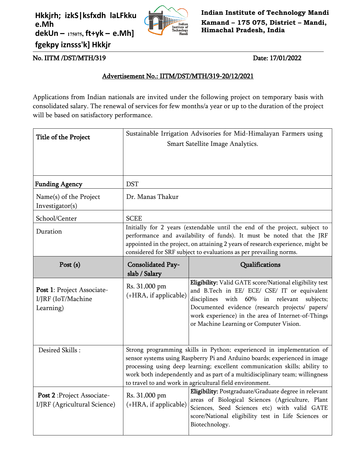**Hkkjrh; izkS|ksfxdh laLFkku e.Mh dekUn – 175075, ft+yk – e.Mh] fgekpy iznsss'k] Hkkjr**



**Indian Institute of Technology Mandi Kamand – 175 075, District – Mandi, Himachal Pradesh, India**

No. IITM /DST/MTH/319 Date: 17/01/2022

## Advertisement No.: IITM/DST/MTH/319-20/12/2021

Applications from Indian nationals are invited under the following project on temporary basis with consolidated salary. The renewal of services for few months/a year or up to the duration of the project will be based on satisfactory performance.

| Title of the Project                                          | Sustainable Irrigation Advisories for Mid-Himalayan Farmers using<br>Smart Satellite Image Analytics.                                                                                                                                                                                                                                                                         |                                                                                                                                                                                                                                                                                                              |
|---------------------------------------------------------------|-------------------------------------------------------------------------------------------------------------------------------------------------------------------------------------------------------------------------------------------------------------------------------------------------------------------------------------------------------------------------------|--------------------------------------------------------------------------------------------------------------------------------------------------------------------------------------------------------------------------------------------------------------------------------------------------------------|
| <b>Funding Agency</b>                                         | <b>DST</b>                                                                                                                                                                                                                                                                                                                                                                    |                                                                                                                                                                                                                                                                                                              |
| Name(s) of the Project<br>Investigator(s)                     | Dr. Manas Thakur                                                                                                                                                                                                                                                                                                                                                              |                                                                                                                                                                                                                                                                                                              |
| School/Center                                                 | <b>SCEE</b>                                                                                                                                                                                                                                                                                                                                                                   |                                                                                                                                                                                                                                                                                                              |
| Duration                                                      | Initially for 2 years (extendable until the end of the project, subject to<br>performance and availability of funds). It must be noted that the JRF<br>appointed in the project, on attaining 2 years of research experience, might be<br>considered for SRF subject to evaluations as per prevailing norms.                                                                  |                                                                                                                                                                                                                                                                                                              |
| Post $(s)$                                                    | <b>Consolidated Pay-</b><br>slab / Salary                                                                                                                                                                                                                                                                                                                                     | Qualifications                                                                                                                                                                                                                                                                                               |
| Post 1: Project Associate-<br>I/JRF (IoT/Machine<br>Learning) | Rs. 31,000 pm<br>(+HRA, if applicable)                                                                                                                                                                                                                                                                                                                                        | Eligibility: Valid GATE score/National eligibility test<br>and B.Tech in EE/ ECE/ CSE/ IT or equivalent<br>disciplines with 60% in relevant<br>subjects;<br>Documented evidence (research projects/ papers/<br>work experience) in the area of Internet-of-Things<br>or Machine Learning or Computer Vision. |
| Desired Skills:                                               | Strong programming skills in Python; experienced in implementation of<br>sensor systems using Raspberry Pi and Arduino boards; experienced in image<br>processing using deep learning; excellent communication skills; ability to<br>work both independently and as part of a multidisciplinary team; willingness<br>to travel to and work in agricultural field environment. |                                                                                                                                                                                                                                                                                                              |
| Post 2: Project Associate-<br>I/JRF (Agricultural Science)    | Rs. 31,000 pm<br>(+HRA, if applicable)                                                                                                                                                                                                                                                                                                                                        | <b>Eligibility:</b> Postgraduate/Graduate degree in relevant<br>areas of Biological Sciences (Agriculture, Plant<br>Sciences, Seed Sciences etc) with valid GATE<br>score/National eligibility test in Life Sciences or<br>Biotechnology.                                                                    |